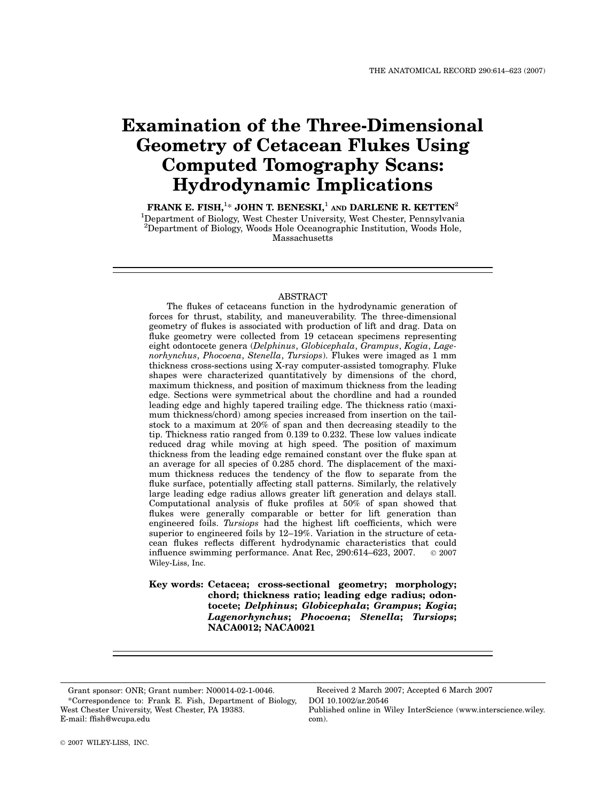# Examination of the Three-Dimensional Geometry of Cetacean Flukes Using Computed Tomography Scans: Hydrodynamic Implications

FRANK E. FISH, $^{1\ast}$  JOHN T. BENESKI, $^{1}$  and DARLENE R. KETTEN $^{2}$ <sup>1</sup>Department of Biology, West Chester University, West Chester, Pennsylvania <sup>2</sup>Department of Biology, Woods Hole Oceanographic Institution, Woods Hole, Massachusetts

## ABSTRACT

The flukes of cetaceans function in the hydrodynamic generation of forces for thrust, stability, and maneuverability. The three-dimensional geometry of flukes is associated with production of lift and drag. Data on fluke geometry were collected from 19 cetacean specimens representing eight odontocete genera (Delphinus, Globicephala, Grampus, Kogia, Lagenorhynchus, Phocoena, Stenella, Tursiops). Flukes were imaged as 1 mm thickness cross-sections using X-ray computer-assisted tomography. Fluke shapes were characterized quantitatively by dimensions of the chord, maximum thickness, and position of maximum thickness from the leading edge. Sections were symmetrical about the chordline and had a rounded leading edge and highly tapered trailing edge. The thickness ratio (maximum thickness/chord) among species increased from insertion on the tailstock to a maximum at 20% of span and then decreasing steadily to the tip. Thickness ratio ranged from 0.139 to 0.232. These low values indicate reduced drag while moving at high speed. The position of maximum thickness from the leading edge remained constant over the fluke span at an average for all species of 0.285 chord. The displacement of the maximum thickness reduces the tendency of the flow to separate from the fluke surface, potentially affecting stall patterns. Similarly, the relatively large leading edge radius allows greater lift generation and delays stall. Computational analysis of fluke profiles at 50% of span showed that flukes were generally comparable or better for lift generation than engineered foils. Tursiops had the highest lift coefficients, which were superior to engineered foils by 12–19%. Variation in the structure of cetacean flukes reflects different hydrodynamic characteristics that could influence swimming performance. Anat Rec,  $290:614-623$ ,  $2007$ .  $\circ$   $2007$ Wiley-Liss, Inc.

Key words: Cetacea; cross-sectional geometry; morphology; chord; thickness ratio; leading edge radius; odontocete; Delphinus; Globicephala; Grampus; Kogia; Lagenorhynchus; Phocoena; Stenella; Tursiops; NACA0012; NACA0021

DOI 10.1002/ar.20546 Published online in Wiley InterScience (www.interscience.wiley. com).

<sup>\*</sup>Correspondence to: Frank E. Fish, Department of Biology, West Chester University, West Chester, PA 19383. E-mail: ffish@wcupa.edu Grant sponsor: ONR; Grant number: N00014-02-1-0046. Received 2 March 2007; Accepted 6 March 2007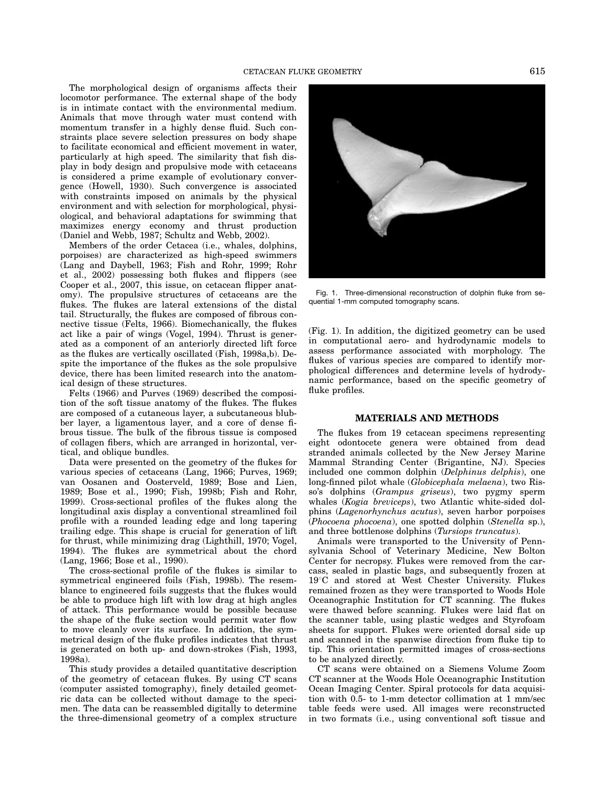The morphological design of organisms affects their locomotor performance. The external shape of the body is in intimate contact with the environmental medium. Animals that move through water must contend with momentum transfer in a highly dense fluid. Such constraints place severe selection pressures on body shape to facilitate economical and efficient movement in water, particularly at high speed. The similarity that fish display in body design and propulsive mode with cetaceans is considered a prime example of evolutionary convergence (Howell, 1930). Such convergence is associated with constraints imposed on animals by the physical environment and with selection for morphological, physiological, and behavioral adaptations for swimming that maximizes energy economy and thrust production (Daniel and Webb, 1987; Schultz and Webb, 2002).

Members of the order Cetacea (i.e., whales, dolphins, porpoises) are characterized as high-speed swimmers (Lang and Daybell, 1963; Fish and Rohr, 1999; Rohr et al., 2002) possessing both flukes and flippers (see Cooper et al., 2007, this issue, on cetacean flipper anatomy). The propulsive structures of cetaceans are the flukes. The flukes are lateral extensions of the distal tail. Structurally, the flukes are composed of fibrous connective tissue (Felts, 1966). Biomechanically, the flukes act like a pair of wings (Vogel, 1994). Thrust is generated as a component of an anteriorly directed lift force as the flukes are vertically oscillated (Fish, 1998a,b). Despite the importance of the flukes as the sole propulsive device, there has been limited research into the anatomical design of these structures.

Felts (1966) and Purves (1969) described the composition of the soft tissue anatomy of the flukes. The flukes are composed of a cutaneous layer, a subcutaneous blubber layer, a ligamentous layer, and a core of dense fibrous tissue. The bulk of the fibrous tissue is composed of collagen fibers, which are arranged in horizontal, vertical, and oblique bundles.

Data were presented on the geometry of the flukes for various species of cetaceans (Lang, 1966; Purves, 1969; van Oosanen and Oosterveld, 1989; Bose and Lien, 1989; Bose et al., 1990; Fish, 1998b; Fish and Rohr, 1999). Cross-sectional profiles of the flukes along the longitudinal axis display a conventional streamlined foil profile with a rounded leading edge and long tapering trailing edge. This shape is crucial for generation of lift for thrust, while minimizing drag (Lighthill, 1970; Vogel, 1994). The flukes are symmetrical about the chord (Lang, 1966; Bose et al., 1990).

The cross-sectional profile of the flukes is similar to symmetrical engineered foils (Fish, 1998b). The resemblance to engineered foils suggests that the flukes would be able to produce high lift with low drag at high angles of attack. This performance would be possible because the shape of the fluke section would permit water flow to move cleanly over its surface. In addition, the symmetrical design of the fluke profiles indicates that thrust is generated on both up- and down-strokes (Fish, 1993, 1998a).

This study provides a detailed quantitative description of the geometry of cetacean flukes. By using CT scans (computer assisted tomography), finely detailed geometric data can be collected without damage to the specimen. The data can be reassembled digitally to determine the three-dimensional geometry of a complex structure



Fig. 1. Three-dimensional reconstruction of dolphin fluke from sequential 1-mm computed tomography scans.

(Fig. 1). In addition, the digitized geometry can be used in computational aero- and hydrodynamic models to assess performance associated with morphology. The flukes of various species are compared to identify morphological differences and determine levels of hydrodynamic performance, based on the specific geometry of fluke profiles.

## MATERIALS AND METHODS

The flukes from 19 cetacean specimens representing eight odontocete genera were obtained from dead stranded animals collected by the New Jersey Marine Mammal Stranding Center (Brigantine, NJ). Species included one common dolphin (Delphinus delphis), one long-finned pilot whale (Globicephala melaena), two Risso's dolphins (Grampus griseus), two pygmy sperm whales (Kogia breviceps), two Atlantic white-sided dolphins (Lagenorhynchus acutus), seven harbor porpoises (Phocoena phocoena), one spotted dolphin (Stenella sp.), and three bottlenose dolphins (Tursiops truncatus).

Animals were transported to the University of Pennsylvania School of Veterinary Medicine, New Bolton Center for necropsy. Flukes were removed from the carcass, sealed in plastic bags, and subsequently frozen at 19°C and stored at West Chester University. Flukes remained frozen as they were transported to Woods Hole Oceanographic Institution for CT scanning. The flukes were thawed before scanning. Flukes were laid flat on the scanner table, using plastic wedges and Styrofoam sheets for support. Flukes were oriented dorsal side up and scanned in the spanwise direction from fluke tip to tip. This orientation permitted images of cross-sections to be analyzed directly.

CT scans were obtained on a Siemens Volume Zoom CT scanner at the Woods Hole Oceanographic Institution Ocean Imaging Center. Spiral protocols for data acquisition with 0.5- to 1-mm detector collimation at 1 mm/sec table feeds were used. All images were reconstructed in two formats (i.e., using conventional soft tissue and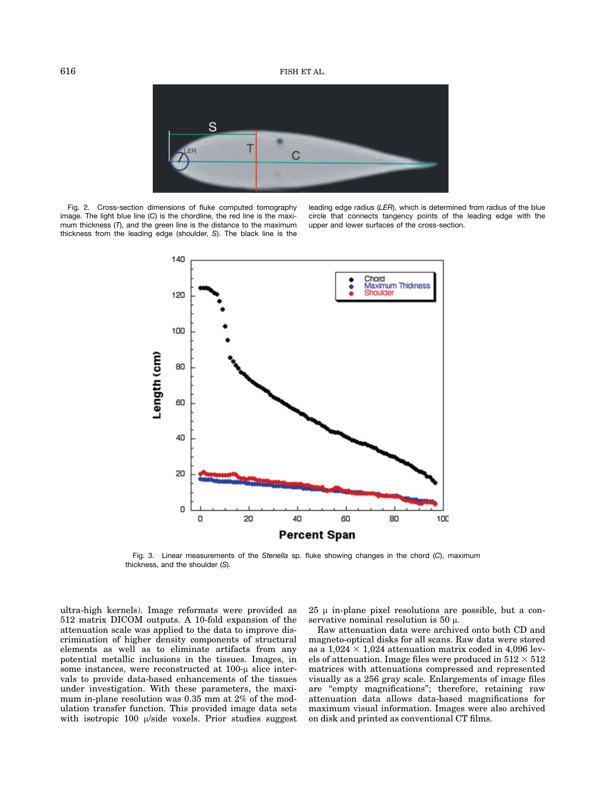

Fig. 2. Cross-section dimensions of fluke computed tomography image. The light blue line (C) is the chordline, the red line is the maximum thickness (T), and the green line is the distance to the maximum thickness from the leading edge (shoulder, S). The black line is the

leading edge radius (LER), which is determined from radius of the blue circle that connects tangency points of the leading edge with the upper and lower surfaces of the cross-section.



Fig. 3. Linear measurements of the Stenella sp. fluke showing changes in the chord (C), maximum thickness, and the shoulder (S).

ultra-high kernels). Image reformats were provided as 512 matrix DICOM outputs. A 10-fold expansion of the attenuation scale was applied to the data to improve discrimination of higher density components of structural elements as well as to eliminate artifacts from any potential metallic inclusions in the tissues. Images, in some instances, were reconstructed at  $100-\mu$  slice intervals to provide data-based enhancements of the tissues under investigation. With these parameters, the maximum in-plane resolution was 0.35 mm at 2% of the modulation transfer function. This provided image data sets with isotropic  $100 \mu/side$  voxels. Prior studies suggest  $25 \mu$  in-plane pixel resolutions are possible, but a conservative nominal resolution is 50  $\mu$ .

Raw attenuation data were archived onto both CD and magneto-optical disks for all scans. Raw data were stored as a  $1,024 \times 1,024$  attenuation matrix coded in 4,096 levels of attenuation. Image files were produced in  $512 \times 512$ matrices with attenuations compressed and represented visually as a 256 gray scale. Enlargements of image files are ''empty magnifications''; therefore, retaining raw attenuation data allows data-based magnifications for maximum visual information. Images were also archived on disk and printed as conventional CT films.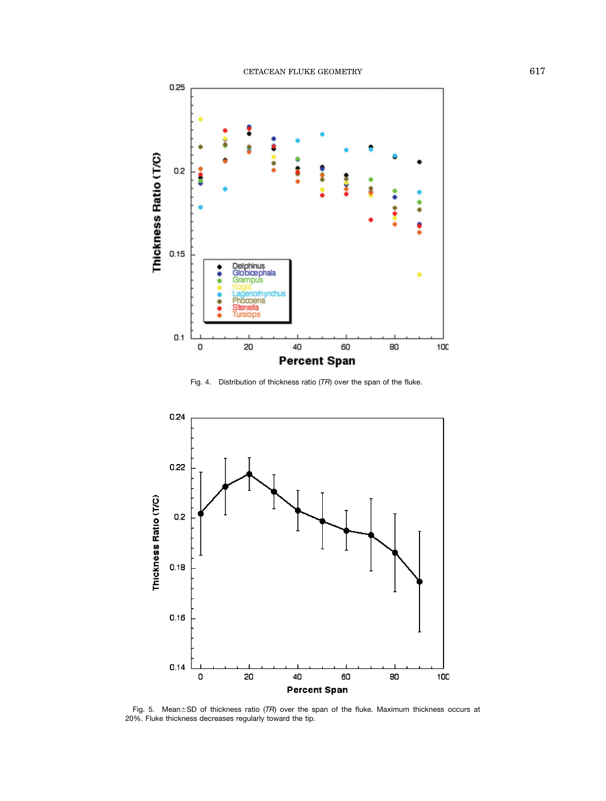

Fig. 4. Distribution of thickness ratio (TR) over the span of the fluke.



Fig. 5. Mean $\pm$ SD of thickness ratio (TR) over the span of the fluke. Maximum thickness occurs at 20%. Fluke thickness decreases regularly toward the tip.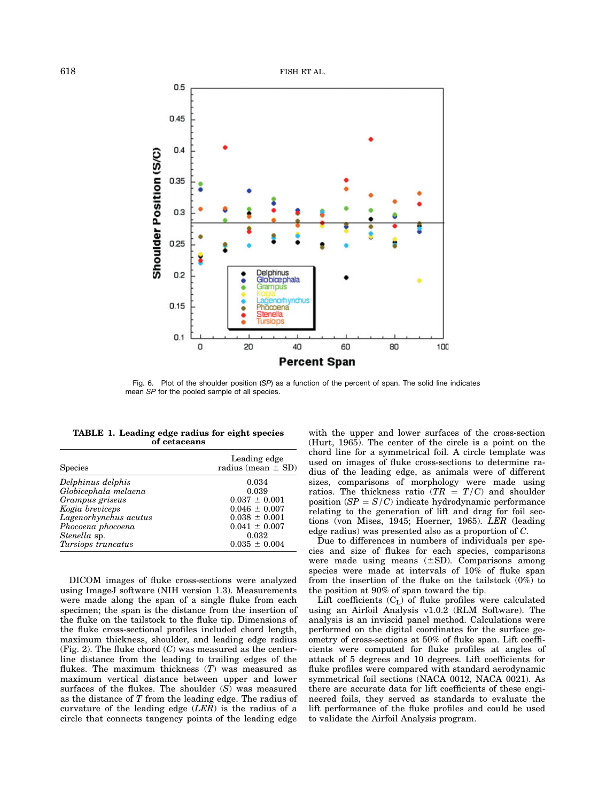

Fig. 6. Plot of the shoulder position (SP) as a function of the percent of span. The solid line indicates mean SP for the pooled sample of all species.

| TABLE 1. Leading edge radius for eight species |  |  |  |  |  |
|------------------------------------------------|--|--|--|--|--|
| of cetaceans                                   |  |  |  |  |  |

| <b>Species</b>        | Leading edge<br>radius (mean $\pm$ SD) |  |  |
|-----------------------|----------------------------------------|--|--|
| Delphinus delphis     | 0.034                                  |  |  |
| Globicephala melaena  | 0.039                                  |  |  |
| Grampus griseus       | $0.037 \pm 0.001$                      |  |  |
| Kogia breviceps       | $0.046 \pm 0.007$                      |  |  |
| Lagenorhynchus acutus | $0.038 \pm 0.001$                      |  |  |
| Phocoena phocoena     | $0.041 \pm 0.007$                      |  |  |
| Stenella sp.          | 0.032                                  |  |  |
| Tursiops truncatus    | $0.035 \pm 0.004$                      |  |  |

DICOM images of fluke cross-sections were analyzed using ImageJ software (NIH version 1.3). Measurements were made along the span of a single fluke from each specimen; the span is the distance from the insertion of the fluke on the tailstock to the fluke tip. Dimensions of the fluke cross-sectional profiles included chord length, maximum thickness, shoulder, and leading edge radius (Fig. 2). The fluke chord  $(C)$  was measured as the centerline distance from the leading to trailing edges of the flukes. The maximum thickness  $(T)$  was measured as maximum vertical distance between upper and lower surfaces of the flukes. The shoulder (S) was measured as the distance of T from the leading edge. The radius of curvature of the leading edge  $(LER)$  is the radius of a circle that connects tangency points of the leading edge

with the upper and lower surfaces of the cross-section (Hurt, 1965). The center of the circle is a point on the chord line for a symmetrical foil. A circle template was used on images of fluke cross-sections to determine radius of the leading edge, as animals were of different sizes, comparisons of morphology were made using ratios. The thickness ratio ( $TR = T/C$ ) and shoulder position  $(SP = S/C)$  indicate hydrodynamic performance relating to the generation of lift and drag for foil sections (von Mises, 1945; Hoerner, 1965). LER (leading edge radius) was presented also as a proportion of C.

Due to differences in numbers of individuals per species and size of flukes for each species, comparisons were made using means  $(\pm SD)$ . Comparisons among species were made at intervals of 10% of fluke span from the insertion of the fluke on the tailstock (0%) to the position at 90% of span toward the tip.

Lift coefficients  $(C<sub>L</sub>)$  of fluke profiles were calculated using an Airfoil Analysis v1.0.2 (RLM Software). The analysis is an inviscid panel method. Calculations were performed on the digital coordinates for the surface geometry of cross-sections at 50% of fluke span. Lift coefficients were computed for fluke profiles at angles of attack of 5 degrees and 10 degrees. Lift coefficients for fluke profiles were compared with standard aerodynamic symmetrical foil sections (NACA 0012, NACA 0021). As there are accurate data for lift coefficients of these engineered foils, they served as standards to evaluate the lift performance of the fluke profiles and could be used to validate the Airfoil Analysis program.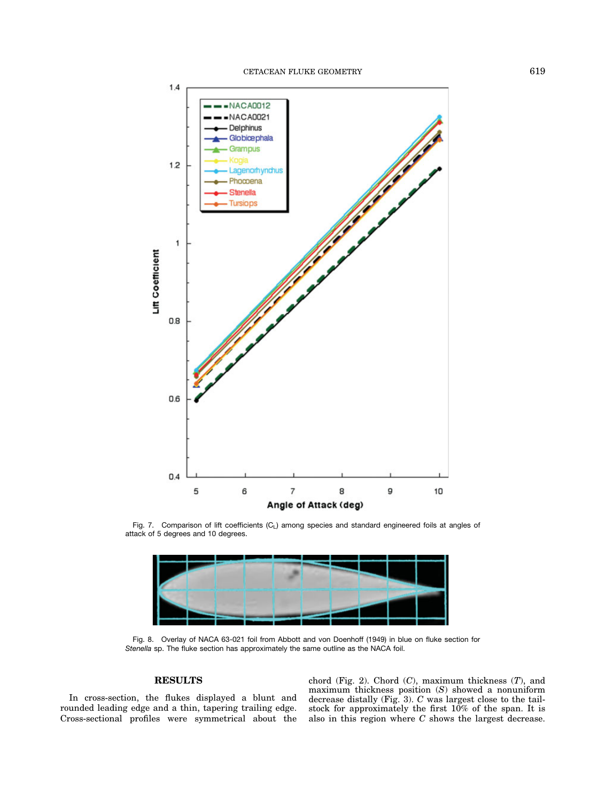

Fig. 7. Comparison of lift coefficients (C<sub>L</sub>) among species and standard engineered foils at angles of attack of 5 degrees and 10 degrees.



Fig. 8. Overlay of NACA 63-021 foil from Abbott and von Doenhoff (1949) in blue on fluke section for Stenella sp. The fluke section has approximately the same outline as the NACA foil.

## RESULTS

In cross-section, the flukes displayed a blunt and rounded leading edge and a thin, tapering trailing edge. Cross-sectional profiles were symmetrical about the

chord (Fig. 2). Chord  $(C)$ , maximum thickness  $(T)$ , and maximum thickness position (S) showed a nonuniform decrease distally (Fig. 3). C was largest close to the tailstock for approximately the first 10% of the span. It is also in this region where C shows the largest decrease.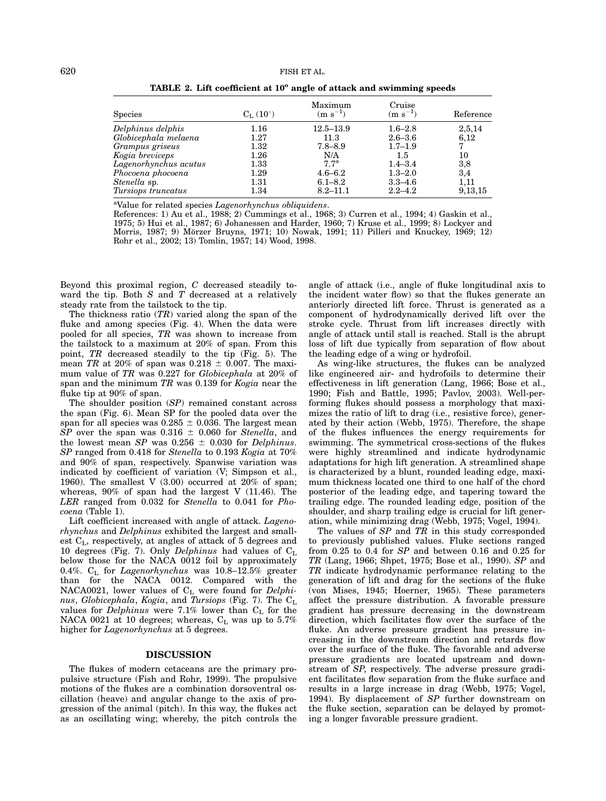| <b>Species</b>            | $C_{\text{L}}(10^{\circ})$ | Maximum<br>$(m s^{-1})$ | Cruise<br>$(m s^{-1})$ | Reference |
|---------------------------|----------------------------|-------------------------|------------------------|-----------|
| Delphinus delphis         | $1.16\,$                   | $12.5 - 13.9$           | $1.6 - 2.8$            | 2,5,14    |
| Globicephala melaena      | 1.27                       | 11.3                    | $2.6 - 3.6$            | 6,12      |
| Grampus griseus           | $1.32\,$                   | $7.8 - 8.9$             | $1.7 - 1.9$            |           |
| Kogia breviceps           | $1.26\,$                   | N/A                     | $1.5\,$                | 10        |
| Lagenorhynchus acutus     | 1.33                       | 7.7 <sup>a</sup>        | $1.4 - 3.4$            | 3,8       |
| Phocoena phocoena         | 1.29                       | $4.6 - 6.2$             | $1.3 - 2.0$            | 3,4       |
| Stenella sp.              | 1.31                       | $6.1 - 8.2$             | $3.3 - 4.6$            | 1,11      |
| <i>Tursiops truncatus</i> | 1.34                       | $8.2 - 11.1$            | $2.2 - 4.2$            | 9, 13, 15 |

TABLE 2. Lift coefficient at  $10^{\circ}$  angle of attack and swimming speeds

<sup>a</sup>Value for related species Lagenorhynchus obliquidens.

References: 1) Au et al., 1988; 2) Cummings et al., 1968; 3) Curren et al., 1994; 4) Gaskin et al., 1975; 5) Hui et al., 1987; 6) Johanessen and Harder, 1960; 7) Kruse et al., 1999; 8) Lockyer and Morris, 1987; 9) Mörzer Bruyns, 1971; 10) Nowak, 1991; 11) Pilleri and Knuckey, 1969; 12) Rohr et al., 2002; 13) Tomlin, 1957; 14) Wood, 1998.

Beyond this proximal region, C decreased steadily toward the tip. Both  $S$  and  $T$  decreased at a relatively steady rate from the tailstock to the tip.

The thickness ratio  $(TR)$  varied along the span of the fluke and among species (Fig. 4). When the data were pooled for all species, TR was shown to increase from the tailstock to a maximum at 20% of span. From this point, TR decreased steadily to the tip (Fig. 5). The mean TR at 20% of span was  $0.218 \pm 0.007$ . The maximum value of TR was 0.227 for Globicephala at 20% of span and the minimum TR was 0.139 for Kogia near the fluke tip at 90% of span.

The shoulder position (SP) remained constant across the span (Fig. 6). Mean SP for the pooled data over the span for all species was  $0.285 \pm 0.036$ . The largest mean  $\overline{SP}$  over the span was 0.316  $\pm$  0.060 for Stenella, and the lowest mean SP was  $0.256 \pm 0.030$  for Delphinus. SP ranged from 0.418 for Stenella to 0.193 Kogia at 70% and 90% of span, respectively. Spanwise variation was indicated by coefficient of variation (V; Simpson et al., 1960). The smallest V  $(3.00)$  occurred at 20% of span; whereas, 90% of span had the largest V (11.46). The LER ranged from 0.032 for Stenella to 0.041 for Phocoena (Table 1).

Lift coefficient increased with angle of attack. Lagenorhynchus and Delphinus exhibited the largest and smallest  $C_{L}$ , respectively, at angles of attack of 5 degrees and 10 degrees (Fig. 7). Only Delphinus had values of  $C_L$ below those for the NACA 0012 foil by approximately 0.4%.  $\rm C_L$  for  $Lagenorhynchus$  was 10.8–12.5% greater than for the NACA 0012. Compared with the NACA0021, lower values of  $C<sub>L</sub>$  were found for *Delphi*nus, Globicephala, Kogia, and Tursiops (Fig. 7). The  $C_L$ values for *Delphinus* were 7.1% lower than  $C_{L}$  for the NACA 0021 at 10 degrees; whereas,  $C_L$  was up to 5.7% higher for Lagenorhynchus at 5 degrees.

## DISCUSSION

The flukes of modern cetaceans are the primary propulsive structure (Fish and Rohr, 1999). The propulsive motions of the flukes are a combination dorsoventral oscillation (heave) and angular change to the axis of progression of the animal (pitch). In this way, the flukes act as an oscillating wing; whereby, the pitch controls the angle of attack (i.e., angle of fluke longitudinal axis to the incident water flow) so that the flukes generate an anteriorly directed lift force. Thrust is generated as a component of hydrodynamically derived lift over the stroke cycle. Thrust from lift increases directly with angle of attack until stall is reached. Stall is the abrupt loss of lift due typically from separation of flow about the leading edge of a wing or hydrofoil.

As wing-like structures, the flukes can be analyzed like engineered air- and hydrofoils to determine their effectiveness in lift generation (Lang, 1966; Bose et al., 1990; Fish and Battle, 1995; Pavlov, 2003). Well-performing flukes should possess a morphology that maximizes the ratio of lift to drag (i.e., resistive force), generated by their action (Webb, 1975). Therefore, the shape of the flukes influences the energy requirements for swimming. The symmetrical cross-sections of the flukes were highly streamlined and indicate hydrodynamic adaptations for high lift generation. A streamlined shape is characterized by a blunt, rounded leading edge, maximum thickness located one third to one half of the chord posterior of the leading edge, and tapering toward the trailing edge. The rounded leading edge, position of the shoulder, and sharp trailing edge is crucial for lift generation, while minimizing drag (Webb, 1975; Vogel, 1994).

The values of SP and TR in this study corresponded to previously published values. Fluke sections ranged from 0.25 to 0.4 for SP and between 0.16 and 0.25 for TR (Lang, 1966; Shpet, 1975; Bose et al., 1990). SP and TR indicate hydrodynamic performance relating to the generation of lift and drag for the sections of the fluke (von Mises, 1945; Hoerner, 1965). These parameters affect the pressure distribution. A favorable pressure gradient has pressure decreasing in the downstream direction, which facilitates flow over the surface of the fluke. An adverse pressure gradient has pressure increasing in the downstream direction and retards flow over the surface of the fluke. The favorable and adverse pressure gradients are located upstream and downstream of SP, respectively. The adverse pressure gradient facilitates flow separation from the fluke surface and results in a large increase in drag (Webb, 1975; Vogel, 1994). By displacement of SP further downstream on the fluke section, separation can be delayed by promoting a longer favorable pressure gradient.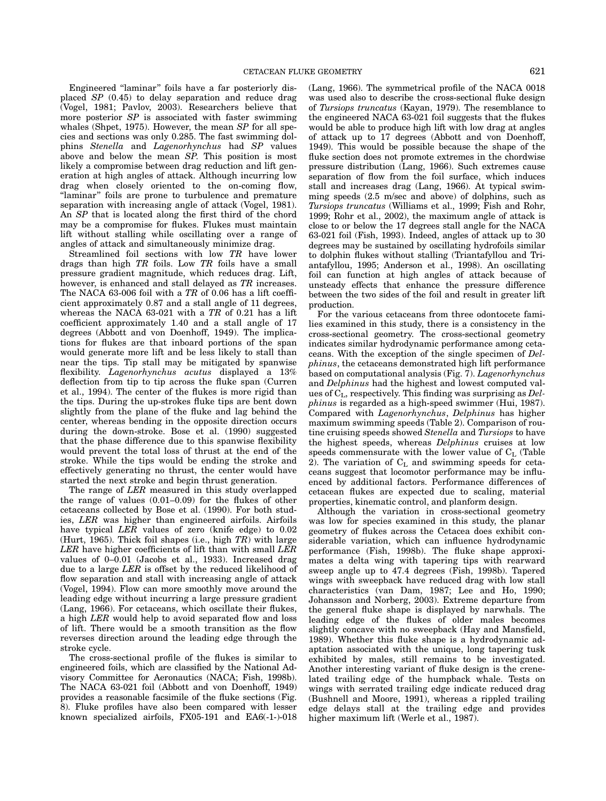Engineered ''laminar'' foils have a far posteriorly displaced SP (0.45) to delay separation and reduce drag (Vogel, 1981; Pavlov, 2003). Researchers believe that more posterior SP is associated with faster swimming whales (Shpet, 1975). However, the mean SP for all species and sections was only 0.285. The fast swimming dolphins Stenella and Lagenorhynchus had SP values above and below the mean SP. This position is most likely a compromise between drag reduction and lift generation at high angles of attack. Although incurring low drag when closely oriented to the on-coming flow, "laminar" foils are prone to turbulence and premature separation with increasing angle of attack (Vogel, 1981). An SP that is located along the first third of the chord may be a compromise for flukes. Flukes must maintain lift without stalling while oscillating over a range of angles of attack and simultaneously minimize drag.

Streamlined foil sections with low TR have lower drags than high TR foils. Low TR foils have a small pressure gradient magnitude, which reduces drag. Lift, however, is enhanced and stall delayed as TR increases. The NACA 63-006 foil with a  $TR$  of 0.06 has a lift coefficient approximately 0.87 and a stall angle of 11 degrees, whereas the NACA 63-021 with a  $TR$  of 0.21 has a lift coefficient approximately 1.40 and a stall angle of 17 degrees (Abbott and von Doenhoff, 1949). The implications for flukes are that inboard portions of the span would generate more lift and be less likely to stall than near the tips. Tip stall may be mitigated by spanwise flexibility. Lagenorhynchus acutus displayed a 13% deflection from tip to tip across the fluke span (Curren et al., 1994). The center of the flukes is more rigid than the tips. During the up-strokes fluke tips are bent down slightly from the plane of the fluke and lag behind the center, whereas bending in the opposite direction occurs during the down-stroke. Bose et al. (1990) suggested that the phase difference due to this spanwise flexibility would prevent the total loss of thrust at the end of the stroke. While the tips would be ending the stroke and effectively generating no thrust, the center would have started the next stroke and begin thrust generation.

The range of LER measured in this study overlapped the range of values (0.01–0.09) for the flukes of other cetaceans collected by Bose et al. (1990). For both studies, LER was higher than engineered airfoils. Airfoils have typical LER values of zero (knife edge) to  $0.02$ (Hurt, 1965). Thick foil shapes (i.e., high  $TR$ ) with large LER have higher coefficients of lift than with small LER values of 0–0.01 (Jacobs et al., 1933). Increased drag due to a large LER is offset by the reduced likelihood of flow separation and stall with increasing angle of attack (Vogel, 1994). Flow can more smoothly move around the leading edge without incurring a large pressure gradient (Lang, 1966). For cetaceans, which oscillate their flukes, a high LER would help to avoid separated flow and loss of lift. There would be a smooth transition as the flow reverses direction around the leading edge through the stroke cycle.

The cross-sectional profile of the flukes is similar to engineered foils, which are classified by the National Advisory Committee for Aeronautics (NACA; Fish, 1998b). The NACA 63-021 foil (Abbott and von Doenhoff, 1949) provides a reasonable facsimile of the fluke sections (Fig. 8). Fluke profiles have also been compared with lesser known specialized airfoils, FX05-191 and EA6(-1-)-018 (Lang, 1966). The symmetrical profile of the NACA 0018 was used also to describe the cross-sectional fluke design of Tursiops truncatus (Kayan, 1979). The resemblance to the engineered NACA 63-021 foil suggests that the flukes would be able to produce high lift with low drag at angles of attack up to 17 degrees (Abbott and von Doenhoff, 1949). This would be possible because the shape of the fluke section does not promote extremes in the chordwise pressure distribution (Lang, 1966). Such extremes cause separation of flow from the foil surface, which induces stall and increases drag (Lang, 1966). At typical swimming speeds (2.5 m/sec and above) of dolphins, such as Tursiops truncatus (Williams et al., 1999; Fish and Rohr, 1999; Rohr et al., 2002), the maximum angle of attack is close to or below the 17 degrees stall angle for the NACA 63-021 foil (Fish, 1993). Indeed, angles of attack up to 30 degrees may be sustained by oscillating hydrofoils similar to dolphin flukes without stalling (Triantafyllou and Triantafyllou, 1995; Anderson et al., 1998). An oscillating foil can function at high angles of attack because of unsteady effects that enhance the pressure difference between the two sides of the foil and result in greater lift production.

For the various cetaceans from three odontocete families examined in this study, there is a consistency in the cross-sectional geometry. The cross-sectional geometry indicates similar hydrodynamic performance among cetaceans. With the exception of the single specimen of Delphinus, the cetaceans demonstrated high lift performance based on computational analysis (Fig. 7). Lagenorhynchus and Delphinus had the highest and lowest computed values of  $C_L$ , respectively. This finding was surprising as  $Del$ phinus is regarded as a high-speed swimmer (Hui, 1987). Compared with Lagenorhynchus, Delphinus has higher maximum swimming speeds (Table 2). Comparison of routine cruising speeds showed Stenella and Tursiops to have the highest speeds, whereas Delphinus cruises at low speeds commensurate with the lower value of  $C_{L}$  (Table 2). The variation of  $C_{\text{L}}$  and swimming speeds for cetaceans suggest that locomotor performance may be influenced by additional factors. Performance differences of cetacean flukes are expected due to scaling, material properties, kinematic control, and planform design.

Although the variation in cross-sectional geometry was low for species examined in this study, the planar geometry of flukes across the Cetacea does exhibit considerable variation, which can influence hydrodynamic performance (Fish, 1998b). The fluke shape approximates a delta wing with tapering tips with rearward sweep angle up to 47.4 degrees (Fish, 1998b). Tapered wings with sweepback have reduced drag with low stall characteristics (van Dam, 1987; Lee and Ho, 1990; Johansson and Norberg, 2003). Extreme departure from the general fluke shape is displayed by narwhals. The leading edge of the flukes of older males becomes slightly concave with no sweepback (Hay and Mansfield, 1989). Whether this fluke shape is a hydrodynamic adaptation associated with the unique, long tapering tusk exhibited by males, still remains to be investigated. Another interesting variant of fluke design is the crenelated trailing edge of the humpback whale. Tests on wings with serrated trailing edge indicate reduced drag (Bushnell and Moore, 1991), whereas a rippled trailing edge delays stall at the trailing edge and provides higher maximum lift (Werle et al., 1987).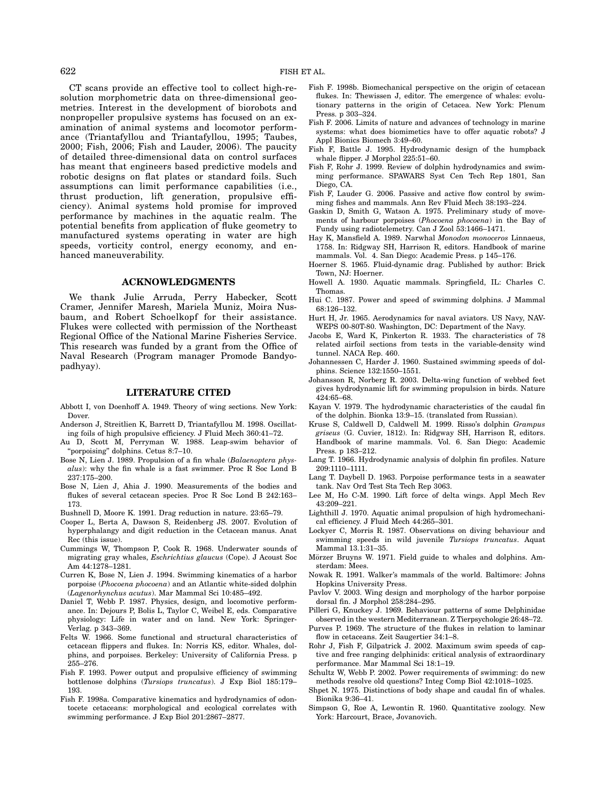CT scans provide an effective tool to collect high-resolution morphometric data on three-dimensional geometries. Interest in the development of biorobots and nonpropeller propulsive systems has focused on an examination of animal systems and locomotor performance (Triantafyllou and Triantafyllou, 1995; Taubes, 2000; Fish, 2006; Fish and Lauder, 2006). The paucity of detailed three-dimensional data on control surfaces has meant that engineers based predictive models and robotic designs on flat plates or standard foils. Such assumptions can limit performance capabilities (i.e., thrust production, lift generation, propulsive efficiency). Animal systems hold promise for improved performance by machines in the aquatic realm. The potential benefits from application of fluke geometry to manufactured systems operating in water are high speeds, vorticity control, energy economy, and enhanced maneuverability.

## ACKNOWLEDGMENTS

We thank Julie Arruda, Perry Habecker, Scott Cramer, Jennifer Maresh, Mariela Muniz, Moira Nusbaum, and Robert Schoelkopf for their assistance. Flukes were collected with permission of the Northeast Regional Office of the National Marine Fisheries Service. This research was funded by a grant from the Office of Naval Research (Program manager Promode Bandyopadhyay).

## LITERATURE CITED

- Abbott I, von Doenhoff A. 1949. Theory of wing sections. New York: Dover.
- Anderson J, Streitlien K, Barrett D, Triantafyllou M. 1998. Oscillating foils of high propulsive efficiency. J Fluid Mech 360:41–72.
- Au D, Scott M, Perryman W. 1988. Leap-swim behavior of ''porpoising'' dolphins. Cetus 8:7–10.
- Bose N, Lien J. 1989. Propulsion of a fin whale (Balaenoptera physalus): why the fin whale is a fast swimmer. Proc R Soc Lond B 237:175–200.
- Bose N, Lien J, Ahia J. 1990. Measurements of the bodies and flukes of several cetacean species. Proc R Soc Lond B 242:163– 173.
- Bushnell D, Moore K. 1991. Drag reduction in nature. 23:65–79.
- Cooper L, Berta A, Dawson S, Reidenberg JS. 2007. Evolution of hyperphalangy and digit reduction in the Cetacean manus. Anat Rec (this issue).
- Cummings W, Thompson P, Cook R. 1968. Underwater sounds of migrating gray whales, Eschrichtius glaucus (Cope). J Acoust Soc Am 44:1278–1281.
- Curren K, Bose N, Lien J. 1994. Swimming kinematics of a harbor porpoise (Phocoena phocoena) and an Atlantic white-sided dolphin (Lagenorhynchus acutus). Mar Mammal Sci 10:485–492.
- Daniel T, Webb P. 1987. Physics, design, and locomotive performance. In: Dejours P, Bolis L, Taylor C, Weibel E, eds. Comparative physiology: Life in water and on land. New York: Springer-Verlag. p 343–369.
- Felts W. 1966. Some functional and structural characteristics of cetacean flippers and flukes. In: Norris KS, editor. Whales, dolphins, and porpoises. Berkeley: University of California Press. p 255–276.
- Fish F. 1993. Power output and propulsive efficiency of swimming bottlenose dolphins (Tursiops truncatus). J Exp Biol 185:179– 193.
- Fish F. 1998a. Comparative kinematics and hydrodynamics of odontocete cetaceans: morphological and ecological correlates with swimming performance. J Exp Biol 201:2867–2877.
- Fish F. 1998b. Biomechanical perspective on the origin of cetacean flukes. In: Thewissen J, editor. The emergence of whales: evolutionary patterns in the origin of Cetacea. New York: Plenum Press. p 303–324.
- Fish F. 2006. Limits of nature and advances of technology in marine systems: what does biomimetics have to offer aquatic robots? J Appl Bionics Biomech 3:49–60.
- Fish F, Battle J. 1995. Hydrodynamic design of the humpback whale flipper. J Morphol 225:51–60.
- Fish F, Rohr J. 1999. Review of dolphin hydrodynamics and swimming performance. SPAWARS Syst Cen Tech Rep 1801, San Diego, CA.
- Fish F, Lauder G. 2006. Passive and active flow control by swimming fishes and mammals. Ann Rev Fluid Mech 38:193–224.
- Gaskin D, Smith G, Watson A. 1975. Preliminary study of movements of harbour porpoises (Phocoena phocoena) in the Bay of Fundy using radiotelemetry. Can J Zool 53:1466–1471.
- Hay K, Mansfield A. 1989. Narwhal Monodon monoceros Linnaeus, 1758. In: Ridgway SH, Harrison R, editors. Handbook of marine mammals. Vol. 4. San Diego: Academic Press. p 145–176.
- Hoerner S. 1965. Fluid-dynamic drag. Published by author: Brick Town, NJ: Hoerner.
- Howell A. 1930. Aquatic mammals. Springfield, IL: Charles C. Thomas.
- Hui C. 1987. Power and speed of swimming dolphins. J Mammal 68:126–132.
- Hurt H, Jr. 1965. Aerodynamics for naval aviators. US Navy, NAV-WEPS 00-80T-80. Washington, DC: Department of the Navy.
- Jacobs E, Ward K, Pinkerton R. 1933. The characteristics of 78 related airfoil sections from tests in the variable-density wind tunnel. NACA Rep. 460.
- Johannessen C, Harder J. 1960. Sustained swimming speeds of dolphins. Science 132:1550–1551.
- Johansson R, Norberg R. 2003. Delta-wing function of webbed feet gives hydrodynamic lift for swimming propulsion in birds. Nature 424:65–68.
- Kayan V. 1979. The hydrodynamic characteristics of the caudal fin of the dolphin. Bionka 13:9–15. (translated from Russian).
- Kruse S, Caldwell D, Caldwell M. 1999. Risso's dolphin Grampus griseus (G. Cuvier, 1812). In: Ridgway SH, Harrison R, editors. Handbook of marine mammals. Vol. 6. San Diego: Academic Press. p 183–212.
- Lang T. 1966. Hydrodynamic analysis of dolphin fin profiles. Nature 209:1110–1111.
- Lang T. Daybell D. 1963. Porpoise performance tests in a seawater tank. Nav Ord Test Sta Tech Rep 3063.
- Lee M, Ho C-M. 1990. Lift force of delta wings. Appl Mech Rev 43:209–221.
- Lighthill J. 1970. Aquatic animal propulsion of high hydromechanical efficiency. J Fluid Mech 44:265–301.
- Lockyer C, Morris R. 1987. Observations on diving behaviour and swimming speeds in wild juvenile Tursiops truncatus. Aquat Mammal 13.1:31–35.
- Mörzer Bruyns W. 1971. Field guide to whales and dolphins. Amsterdam: Mees.
- Nowak R. 1991. Walker's mammals of the world. Baltimore: Johns Hopkins University Press.
- Pavlov V. 2003. Wing design and morphology of the harbor porpoise dorsal fin. J Morphol 258:284–295.
- Pilleri G, Knuckey J. 1969. Behaviour patterns of some Delphinidae observed in the western Mediterranean. Z Tierpsychologie 26:48–72.
- Purves P. 1969. The structure of the flukes in relation to laminar flow in cetaceans. Zeit Saugertier 34:1–8.
- Rohr J, Fish F, Gilpatrick J. 2002. Maximum swim speeds of captive and free ranging delphinids: critical analysis of extraordinary performance. Mar Mammal Sci 18:1–19.
- Schultz W, Webb P. 2002. Power requirements of swimming: do new methods resolve old questions? Integ Comp Biol 42:1018–1025.
- Shpet N. 1975. Distinctions of body shape and caudal fin of whales. Bionika 9:36–41.
- Simpson G, Roe A, Lewontin R. 1960. Quantitative zoology. New York: Harcourt, Brace, Jovanovich.